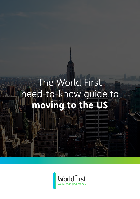# The World First need-to-know guide to **moving to the US**

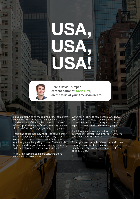# USA, USA, USA!



**Here's David Trumper, content editor at World First, on the start of your American dream.**

So, you're planning on making your American dream a reality? Well, whether you're dreaming of the Sunshine State of Florida, the Hospitality State of Mississippi, the Bluegrass State of Kentucky or even the Peach State of Georgia, you're in the right place.

There's no doubt that moving abroad can be pretty exciting, but, equally, it won't necessarily be an altogether smooth process, and it's unlikely that absolutely everything will go to plan. There will also be questions that you'll want answering – how long will it take, how does it work, how much will it cost?

Well, with questions come answers, and that's where this guide comes in.

We've been talking to some people who know exactly what it takes to move to the US. In this guide, you'll hear from a tax expert, property experts, an economist and a currency expert.

The following pages are packed with useful information – perfect to help you on your way to your dream home in America.

So put your feet up, grab a slice of pumpkin pie and a strong cup of cwoffee, and dive into our guide. I really hope it brings you one step closer to the good ol' U S of A.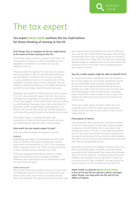EXPERT VIEW

# The tax expert

## **Tax expert Adam Smith outlines the tax implications for those thinking of moving to the US.**

#### **First things first, a rundown of the tax implications to be aware of when moving to the US…**

The United States is almost unique in that taxes are imposed on its citizens on their worldwide income regardless of whether or not they are actually resident in the US.

They also take this approach to any non-US citizens who are resident in the US, and therefore while you are considered a resident in the US you are taxed on your worldwide income (i.e. taxed on all income, regardless of where that income is earned). You are, however, allowed to offset your US liability by taking a credit for any foreign taxes that you have paid.

Taxpayers are required to file annual tax returns (even if no tax is due) and self-assess their tax. Tax may be withheld from payments of income (e.g. withholding of tax from wages). To the extent taxes are not covered by withholdings, taxpayers may make estimated tax payments which are generally made quarterly. Tax returns can also be filed jointly for married taxpayers and those filing jointly do get some beneficial tax rates.

The United States is a federal republic with autonomous state and local governments and you can potentially be taxed at each of these levels.

#### **How much tax can expats expect to pay?**

There are different levels of taxation in the US:

#### **Federal**

Individuals are subject to graduated tax rates from 10% to 39.6% on their gross income, less certain deductions and exemptions. In 2015, for a taxpayer filing a separate return, the 39.6% tax rate only kicks in when taxable income exceeds \$413,200.

There are separate beneficial tax rates for certain types of investment income (largely 'qualified' dividends and capital gains tax on investments held for more than one year).

#### **State and Local**

Most states and many localities impose income taxes on individuals who are living in that state (there are seven states with no income tax including Florida, Texas and Nevada). The rate of tax varies state by state and may be fixed or graduated. It is worth looking at the rules for each state before moving as they do vary considerably from state to state, but as an example if you live and work in New York City then you would pay approximately an additional 4% to 9% tax to New York state and 3% to 4% to New York City depending on your level of income.

#### **Any tax credits expats might be able to benefit from?**

As mentioned earlier, individuals who are resident in the US are subject to tax on their worldwide income and so potentially there could be a problem with double tax. This is generally alleviated by taking a foreign tax credit in the US for any non US taxes that have already been paid on that income. However, there may still be some residual US tax to pay if the foreign tax paid is less than the US tax imposed on that income.

There are a wide variety of other credits that are available such a child tax credit, some education credits and an earned income credit for low income wage earners.

#### **Final pieces of advice**

One thing that often catches out UK citizens based in the US is the taxation of the sale of your principal residence in the UK. Whilst this is very likely to be exempt from tax in the UK, it could well be taxable in the US. The rules around this are quite complex and we would recommend taking some tax advice before the sale to ensure that you are aware of the rules and don't get an unexpected tax bill.

Generally US tax law is incredibly complex and is not often something expats are able to do themselves, especially when dealing with the interaction between the US & UK tax systems. It would certainly be worth finding a tax preparer who is cognisant in expat tax to ensure you are fully compliant and are paying the correct amount of tax to all relevant jurisdictions.

**Adam Smith is a partner a[t Westleton Drake,](https://www.westletondrake.com/)  a firm of US and UK tax advisors which, amongst other things, can help with the UK and US tax affairs of expats.**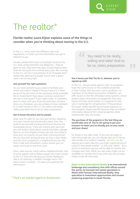

# The realtor\*

**Florida realtor Laura Kijner explains some of the things to consider when you're thinking about moving to the U.S.**

In the U.S., every state has different rules and regulations, so make sure the information you get is relevant to you.

Usually, people that have successfully moved to the U.S. have conducted their due diligences – they've gone to visit, they know the area, maybe they've been there for ten years for a month every year. But moving to the U.S. can be a long process! A lot of people don't realise that getting the proper visa or even a green card is not an easy task.

#### **Ask yourself the right questions**

Do you have everything you need to facilitate your move and make it happen? Do you have a U.S. bank account? Do you have all the necessary funds available for an investment? How about currency conversion? Are you a cash buyer? If you need a loan, it's probably best to check with your financial institution at home since, as a foreigner, you are unlikely to have collateral or a credit history in the U.S. You need to be ready, willing and able! And to be so, takes preparation.

#### **Get to know the place and its people**

Make sure it's right for you and your family. Adapting to a new culture and environment takes time. You need to see yourself working and living there for the foreseeable future. If you are moving with your kids, you will need to think about schools and later colleges. Even to run the simplest errand, you are most likely to drive your car around. Do you have a driving license? Are you fine with driving at least an hour a day? Make sure you find a property in a neighbourhood you like, that is safe and convenient, a place where you can easily commute to and from work.

Drive, walk around, check various neighbourhoods, talk to some agents, talk to fellow expats who have moved to the U.S. and who will give you honest feedbacks, talk to an attorney, a wealth manager and a CPA about what's involved – it's about just getting that information.

### \* That's an estate agent in American!

You need to be ready, willing and able! And to be so, takes preparation.

**"**

#### **See a house you like? Go for it, whoever you're signed up with**

**"**

In the U.S., all real estate agents, with no exception, have the same access to the available properties in their market with the exact same conditions. As members of the Miami Association of Realtors, we offer access to the MLS (Multiple Listing System), where brokers share information on properties they have listed and invite other brokers to cooperate in their sale in exchange for compensation if they produce the buyer. Sellers benefit by increased exposure to their property. Buyers benefit because they can obtain information about all MLS-listed properties while working with only one broker.

#### **The purchase of the property is the last thing we would take care of. You're not going to put your trousers on when you've already put on your socks and your shoes!**

Do things in the right order. If you are not ready to take the plunge yet, you can always sign up for listing alert emails on a realtors' website - [like this one](http://www.homesforsaleinmiamifl.com/). By signing up to alerts like this, you'll get a good picture of a place's real estate market – in this case, Miami – from prices to inventory and you will be able to monitor the changes over time. What you see today might not be available six months from now when you are actually ready to buy. Be informed!

**[Kijner & Sons International Realty](http://www.kijner.com/) is an international brokerage and consultancy firm with offices around the world. As licensed real estate specialists in Miami with Fortune International Realty, they specialise in investment opportunities and income producing properties in South Florida.**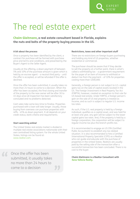**Chaim Gleitmann, a real estate consultant based in Florida, explains the nuts and bolts of the property buying process in the US.**

#### **A bit about the process**

Once a property has been identified by the client, a contract for purchase will be formed with purchase price and terms and conditions, and presented by the Buyer's Agent to the Seller Agent.

Usually at the offering, a down payment of between 5% and 10% of the purchase amount is given which is held by an escrow agent – a neutral third party – until the offer is accepted, or will be refunded if the offer is declined.

Once the offer has been submitted, it usually takes no more than 24 hours to come to a decision. When the offer has been accepted, the final closing and transfer of the property to the new owner will be after 30 to 45 days once all inspection has been satisfactory concluded and no problems detected.

Cash sales take some less time to finalise. Properties purchased with a loan will take longer. Usually, those buying from overseas can purchase properties with 40% - 45% as down payment. It all depends on your credit status, bank criteria and requirements.

#### **Start searching online!**

The United States real estate market is divided in multiple real estate associations nationwide with their own centralised listing system. For the whole United States, listings can be found at: [www.realtor.com.](www.realtor.com) 

Conce the offer has been<br>submitted, it usually take<br>no more than 24 hours t submitted, it usually takes no more than 24 hours to come to a decision **"**

#### **Restrictions, taxes and other important stuff**

There are no restrictions on foreign buyers purchasing and holding any kind of US properties, whether residential or commercial.

EXPERT VIEW

The purchaser should be aware that if they decide to sell the property at a further point, there is what's called a withholding tax – a government requirement for the payer of an item of income to withhold or deduct tax from the payment – of 10% for properties costing more than \$300,000.

Generally, a foreign person is not subject to U.S. capital gains tax on the sale of capital assets located in the US. The Foreign Investment in Real Property Tax Act (FIRPTA), however, created an exception to that rule for US-based real estate. Under FIRPTA, a foreign person's gain on the sale of US real property is treated as income, and as such is subject to regular U.S. income tax rates.

As such, if the U.S. real property is held by a foreign individual, qualifies as a capital asset, and was held for at least one year, any gain will be subject to the lower capital gains tax rates. And, if the property is held by a foreign corporation, the corporation will be subject to regular income tax plus the branch-profits tax.

It is recommended to engage an US CPA (Certified Public Accountant) to establish any tax related situation. It is also recommended to hire a Certified International Property Specialist (CIPS) as a Realtor who can guide and educate with the purchase of properties in the United States. Realtors are usually paid by the selling side of the transaction after a successful transaction has been concluded. There is no cost to the buyer.

#### **Chaim Gleitmann is a Realtor Consultant with [Xena Vallone Realty.](http://www.xenavallone.realtor/)**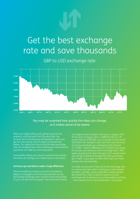

# Get the best exchange rate and save thousands

GBP to USD exchange rate



You may be surprised how quickly the rates can change, so it makes sense to be aware.

When you agree what you're going to pay for the property, and factored in all the extra fees, the amount you'll actually pay will depend on what you get for your money once it's been converted into dollars. So, taking the time to find the best exchange rate and avoiding fees when making your international payments can help you save thousands.

And another thing, you may be surprised how quickly the rates can change, so it makes sense to be aware.

#### **Currency ups and downs make a huge difference**

When transferring money to pay for the property, deposit, mortgage or to move your pension across, fluctuating exchange rates could be worth thousands. As you can see from the graph, the pound has moved a lot against the US dollar in the year to August 2015. At the start of August 2014, a GBPUSD rate of 1.70 meant that for £500,000, you could get a home worth \$850,000. Fast forward a year and that same amount of money would get you a property worth around \$775,000 – that's a difference of \$75,000 in the space of one year just because of the exchange rates. Then again, buying at the start of August 2015 would mean you still get a better exchange rate than you'd have got in April. It just goes to show that rates can move quickly and unpredictably.

To make sure you don't lose out on the exchange rate or unnecessary fees when making your international transfers, consider using a specialist currency broker like World First. There is also the option to fix an exchange rate in advance so you know what you'll pay – we'll explain this in more detail later in the guide.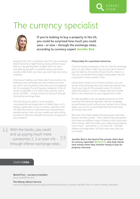

**If you're looking to buy a property in the US, you could be surprised how much you could save – or lose – through the exchange rates, according to currency expert Jennifer Bird.**

Buying in the USA is a big deal. Don't let your American dream become a nightmare by losing control of your finances. By getting them straight from the start, and getting yourself in a position where you know exactly what funds you have, you won't get any nasty surprises.

One way of making sure there aren't any shocks is by looking at the exchange rate and making sure that you won't end up paying more than you've budgeted for. For example, if you're buying a property in the US worth \$1,000,000, a 2% shift in the currency rate is worth \$20,000 – a huge amount to lose just through fluctuating exchange rates.

The last thing you want is to be stung by uncompetitive exchange rates or hidden fees, so it's always a good idea to use a currency specialist who will take the time to understand your requirements, provide options that suit your needs and who will be on hand to help you through the process of paying for your property.

With the banks, you could<br>
end up paying much more<br>
- sometimes 2, 3 or even 4 **"** end up paying much more – sometimes 2, 3 or even 4% – through inferior exchange rates.

#### **Fixing today for a purchase tomorrow**

If you're buying a property in the US, and the exchange rate is in your favour right now, but you don't need to pay the balance for another three months, there is a way you can benefit from today's favourable rates for a payment in three months' time.

EXPERT VIEW

Using what's known as a forward contract, you can secure that exchange rate now and know exactly how much you'll pay for the property when it's time to settle the balance. It won't matter what the market does in the meantime, as your agreed rate is safe.

It's also possible to set up regular payments so that monthly international expenses, like the mortgage, are paid every month without you having to do a thing. Again, you can fix an exchange rate and know what you'll pay every time.

We work with many people that previously used their bank to transfer money – that's before they discovered that there are different ways of doing it that could save them money. With the banks, you could end up paying much more – sometimes 2, 3 or even 4% – through inferior exchange rates. So that's why now, they use us instead!

**Jennifer Bird is the head of the private client desk at currency specialist World First, who help clients save money when they transfer money to pay for property overseas.**

### Useful **Links**

**World First – currency transfers** [www.worldfirst.com](t www.worldfirst.com)

#### **The Money Advice Service**

[www.moneyadviceservice.org.uk/en/articles/using-a-money-transfer-firm-to-send-money-overseas](www.moneyadviceservice.org.uk/en/articles/using-a-money-transf)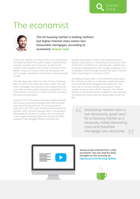# The economist



**The US housing market is looking resilient but higher interest rates means less favourable mortgages, according to economist Jeremy Cook.**

In the past century, at various points, the US economy has held the title of the world's largest manufacturer, exporter, importer and consumer, as well as the world's most valuable stock market. The dollar is the global currency of choice; there are few places that won't accept a greenback for whatever is being bought or sold.

The old adage also holds true that "if the US sneezes, then the rest of the world will catch a cold". The subprime mortgage crisis that led to the Global Financial Crisis that caused a global recession originated in the United States, of course. It is there that the recovery is also seen to have begun.

Growth in the US economy has been volatile through the recovery and there has been little that has been seen as exclusively positive. The first quarters of both 2014 and 2015 were hampered dramatically by weather, with a limited rebound seen in the quarters afterwards. At the time of writing, the US consumer is once again shopping, aided by a strong US dollar, however it has dragged inflation towards zero.

Despite the uneven recovery, the Federal Reserve is likely to start a policy of normalising interest soon. Part of the Fed's mandate is to maintain price stability and to reduce unemployment and, broadly speaking, it has succeeded in both through the past few years. Interest rates should begin to increase in 2015.

Increasing interest rates is not necessarily good news for a housing market as it obviously makes borrowing costs and therefore mortgages less attractive. That said, the US housing market, particularly in urban centres, remains very resilient. However, the Federal Reserve is not going to burst a bubble it's been working at reflating for seven years by raising rates too far too fast.

> Increasing interest rates is not necessarily good news for a housing market as it obviously makes borrowing costs and therefore mortgages less attractive.<br> *Mortgages*



**Jeremy Cook is World First's chief economist. You can read his daily thoughts on the economy by [signing up to his Morning Update.](https://www.worldfirst.com/uk/foreign-exchange/#snippet-daily-update-video)**

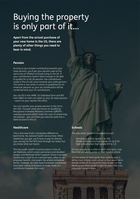# Buying the property is only part of it…

**Apart from the actual purchase of your new home in the US, there are plenty of other things you need to bear in mind.**

### **Pension**

As long as you've been contributing towards your state pension, you'll get your pension paid at the same rate of inflation as those living in the UK. If your contributions haven't been enough to be able to qualify for a full UK pension, the contributions made in the US will count towards your state pension. The same is true when it comes to qualifying for an American pension as your UK contributions will be combined with your US contributions.

You can fill in thi[s HMRC US Individual form](https://www.gov.uk/government/publications/double-taxation-united-kingdomunited-states-of-america-si-2002-number-2848-form-us-individual-2002) and IRS [Form 8802](http://www.irs.gov/pub/irs-pdf/f8802.pdf) to claim tax relief on your UK state pension – send it to your nearest IRS office.

You can transfer your private pension in the UK to the USA. Through what are known as Qualifying Recognised Overseas Pensions Schemes (QROPS) – overseas pensions which meet the rules of where they are located – you can have your pension paid into a bank account in the US.

### **Healthcare**

This is one area that's completely different to back home. No national health service here. What healthcare you get, you'll have to pay for directly (yes, we pay for the NHS here through our taxes, but you know what we mean).

The two public health insurance plans in the US are Medicare, which covers pensioners and disabled people, and Medicaid which supports those in poverty. Healthcare is paid for on a private basis, often as an employer benefit, and covers the whole immediate family. However, as costs have increased, workplaces have been asking employees to make more of a contribution towards the costs.

### **Schools**

The education system is arranged as such:

- Elementary school (grade 1 to 5/6)
- Middle school/junior high (grade 5/6 to 8 /9)
- High school/senior high (grade 8/9 to 12)

It's not unusual for a child to start 'mid-term', and the child will usually enrol at their nearest school.

Just be aware of what grade they need to start it. While most children start school at four years old in the UK, in the US it's usual for them to start at five. Working out which grade is right for your child is an important consideration.